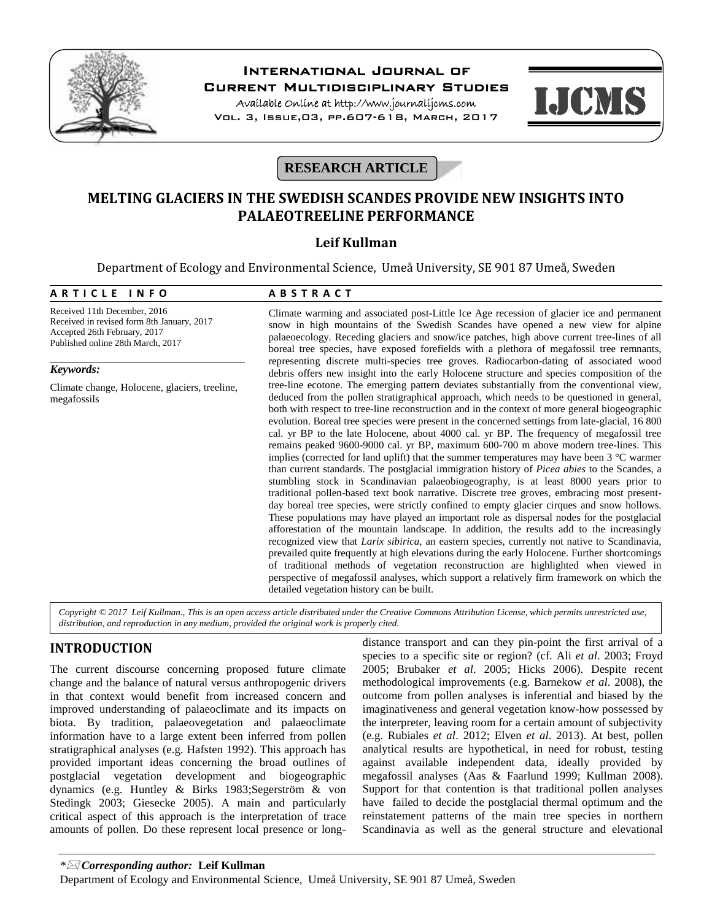

# **International Journal of**

**Current Multidisciplinary Studies**

**Available Online at http://www.journalijcms.com** Vol. 3, Issue,03, pp.607-618, March, 2017



# **RESEARCH ARTICLE**

# **MELTING GLACIERS IN THE SWEDISH SCANDES PROVIDE NEW INSIGHTS INTO PALAEOTREELINE PERFORMANCE**

# **Leif Kullman**

Department of Ecology and Environmental Science, Umeå University, SE 901 87 Umeå, Sweden

#### **Leif Kullman**<br>
Department of Ecology and Environmental Science, Umeå Univ<br>
A R T I C L E I N F O A B S T R A C T<br>
Received 11th December, 2016 Climate warming and associated post-Li Received 11th December, 2016 Received in revised form 8th January, 2017 Accepted 26th February, 2017 Published online 28th March, 2017 Climate warming and associated post-Little Ice Age recession of glacier ice and permanent snow in high mountains of the Swedish Scandes have opened a new view for alpine palaeoecology. Receding glaciers and snow/ice patches, high above current tree-lines of all boreal tree species, have exposed forefields with a plethora of megafossil tree remnants, representing discrete multi-species tree groves. Radiocarbon-dating of associated wood debris offers new insight into the early Holocene structure and species composition of the tree-line ecotone. The emerging pattern deviates substantially from the conventional view, deduced from the pollen stratigraphical approach, which needs to be questioned in general, both with respect to tree-line reconstruction and in the context of more general biogeographic evolution. Boreal tree species were present in the concerned settings from late-glacial, 16 800 cal. yr BP to the late Holocene, about 4000 cal. yr BP. The frequency of megafossil tree remains peaked 9600-9000 cal. yr BP, maximum 600-700 m above modern tree-lines. This implies (corrected for land uplift) that the summer temperatures may have been  $3 \degree C$  warmer than current standards. The postglacial immigration history of *Picea abies* to the Scandes, a stumbling stock in Scandinavian palaeobiogeography, is at least 8000 years prior to traditional pollen-based text book narrative. Discrete tree groves, embracing most present day boreal tree species, were strictly confined to empty glacier cirques and snow hollows. These populations may have played an important role as dispersal nodes for the postglacial afforestation of the mountain landscape. In addition, the results add to the increasingly recognized view that *Larix sibirica*, an eastern species, currently not native to Scandinavia, prevailed quite frequently at high elevations during the early Holocene. Further shortcomings of traditional methods of vegetation reconstruction are highlighted when viewed in perspective of megafossil analyses, which support a relatively firm framework on which the detailed vegetation history can be built. *Keywords:* Climate change, Holocene, glaciers, treeline, megafossils

*Copyright © 2017 Leif Kullman., This is an open access article distributed under the Creative Commons Attribution License, which permits unrestricted use, distribution, and reproduction in any medium, provided the original work is properly cited.*

## **INTRODUCTION**

The current discourse concerning proposed future climate change and the balance of natural versus anthropogenic drivers in that context would benefit from increased concern and improved understanding of palaeoclimate and its impacts on biota. By tradition, palaeovegetation and palaeoclimate information have to a large extent been inferred from pollen stratigraphical analyses (e.g. Hafsten 1992). This approach has provided important ideas concerning the broad outlines of postglacial vegetation development and biogeographic dynamics (e.g. Huntley & Birks 1983;Segerström & von Stedingk 2003; Giesecke 2005). A main and particularly critical aspect of this approach is the interpretation of trace amounts of pollen. Do these represent local presence or longdistance transport and can they pin-point the first arrival of a species to a specific site or region? (cf. Ali *et al*. 2003; Froyd 2005; Brubaker *et al*. 2005; Hicks 2006). Despite recent methodological improvements (e.g. Barnekow *et al*. 2008), the outcome from pollen analyses is inferential and biased by the imaginativeness and general vegetation know-how possessed by the interpreter, leaving room for a certain amount of subjectivity (e.g. Rubiales *et al*. 2012; Elven *et al*. 2013). At best, pollen analytical results are hypothetical, in need for robust, testing against available independent data, ideally provided by megafossil analyses (Aas & Faarlund 1999; Kullman 2008). Support for that contention is that traditional pollen analyses have failed to decide the postglacial thermal optimum and the reinstatement patterns of the main tree species in northern Scandinavia as well as the general structure and elevational

*\* Corresponding author:* **Leif Kullman**

Department of Ecology and Environmental Science, Umeå University, SE 901 87 Umeå, Sweden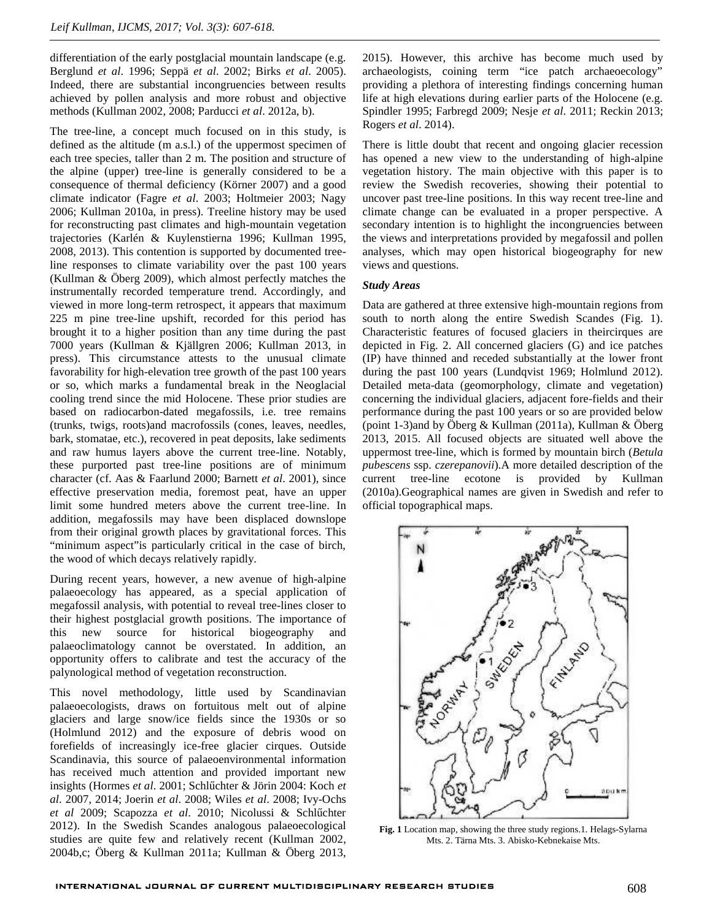differentiation of the early postglacial mountain landscape (e.g. Berglund *et al*. 1996; Seppä *et al*. 2002; Birks *et al*. 2005). Indeed, there are substantial incongruencies between results achieved by pollen analysis and more robust and objective methods (Kullman 2002, 2008; Parducci *et al*. 2012a, b).

The tree-line, a concept much focused on in this study, is defined as the altitude (m a.s.l.) of the uppermost specimen of each tree species, taller than 2 m. The position and structure of the alpine (upper) tree-line is generally considered to be a consequence of thermal deficiency (Körner 2007) and a good climate indicator (Fagre *et al*. 2003; Holtmeier 2003; Nagy 2006; Kullman 2010a, in press). Treeline history may be used for reconstructing past climates and high-mountain vegetation trajectories (Karlén & Kuylenstierna 1996; Kullman 1995, 2008, 2013). This contention is supported by documented treeline responses to climate variability over the past 100 years (Kullman & Öberg 2009), which almost perfectly matches the instrumentally recorded temperature trend. Accordingly, and viewed in more long-term retrospect, it appears that maximum 225 m pine tree-line upshift, recorded for this period has brought it to a higher position than any time during the past 7000 years (Kullman & Kjällgren 2006; Kullman 2013, in press). This circumstance attests to the unusual climate favorability for high-elevation tree growth of the past 100 years or so, which marks a fundamental break in the Neoglacial cooling trend since the mid Holocene. These prior studies are based on radiocarbon-dated megafossils, i.e. tree remains (trunks, twigs, roots)and macrofossils (cones, leaves, needles, bark, stomatae, etc.), recovered in peat deposits, lake sediments and raw humus layers above the current tree-line. Notably, these purported past tree-line positions are of minimum character (cf. Aas & Faarlund 2000; Barnett *et al*. 2001), since effective preservation media, foremost peat, have an upper limit some hundred meters above the current tree-line. In addition, megafossils may have been displaced downslope from their original growth places by gravitational forces. This "minimum aspect"is particularly critical in the case of birch, the wood of which decays relatively rapidly.

During recent years, however, a new avenue of high-alpine palaeoecology has appeared, as a special application of megafossil analysis, with potential to reveal tree-lines closer to their highest postglacial growth positions. The importance of this new source for historical biogeography and palaeoclimatology cannot be overstated. In addition, an opportunity offers to calibrate and test the accuracy of the palynological method of vegetation reconstruction.

This novel methodology, little used by Scandinavian palaeoecologists, draws on fortuitous melt out of alpine glaciers and large snow/ice fields since the 1930s or so (Holmlund 2012) and the exposure of debris wood on forefields of increasingly ice-free glacier cirques. Outside Scandinavia, this source of palaeoenvironmental information has received much attention and provided important new insights (Hormes et al. 2001; Schl chter & Jörin 2004: Koch et *al*. 2007, 2014; Joerin *et al*. 2008; Wiles *et al*. 2008; Ivy-Ochs *et al* 2009; Scapozza *et al*. 2010; Nicolussi & Schlűchter 2012). In the Swedish Scandes analogous palaeoecological studies are quite few and relatively recent (Kullman 2002, 2004b,c; Öberg & Kullman 2011a; Kullman & Öberg 2013,

2015). However, this archive has become much used by archaeologists, coining term "ice patch archaeoecology" providing a plethora of interesting findings concerning human life at high elevations during earlier parts of the Holocene (e.g. Spindler 1995; Farbregd 2009; Nesje *et al*. 2011; Reckin 2013; Rogers *et al*. 2014).

There is little doubt that recent and ongoing glacier recession has opened a new view to the understanding of high-alpine vegetation history. The main objective with this paper is to review the Swedish recoveries, showing their potential to uncover past tree-line positions. In this way recent tree-line and climate change can be evaluated in a proper perspective. A secondary intention is to highlight the incongruencies between the views and interpretations provided by megafossil and pollen analyses, which may open historical biogeography for new views and questions.

#### *Study Areas*

Data are gathered at three extensive high-mountain regions from south to north along the entire Swedish Scandes (Fig. 1). Characteristic features of focused glaciers in theircirques are depicted in Fig. 2. All concerned glaciers (G) and ice patches (IP) have thinned and receded substantially at the lower front during the past 100 years (Lundqvist 1969; Holmlund 2012). Detailed meta-data (geomorphology, climate and vegetation) concerning the individual glaciers, adjacent fore-fields and their performance during the past 100 years or so are provided below (point 1-3)and by Öberg & Kullman (2011a), Kullman & Öberg 2013, 2015. All focused objects are situated well above the uppermost tree-line, which is formed by mountain birch (*Betula pubescens* ssp. *czerepanovii*)*.*A more detailed description of the current tree-line ecotone is provided by Kullman (2010a).Geographical names are given in Swedish and refer to official topographical maps.



**Fig. 1** Location map, showing the three study regions.1. Helags-Sylarna Mts. 2. Tärna Mts. 3. Abisko-Kebnekaise Mts.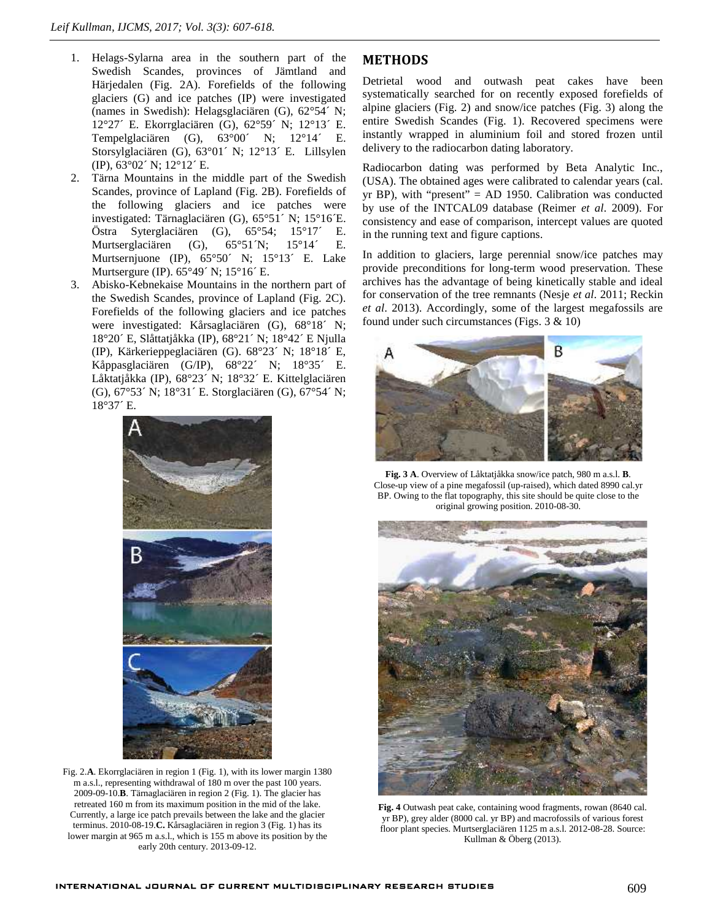- 1. Helags-Sylarna area in the southern part of the Swedish Scandes, provinces of Jämtland and Härjedalen (Fig. 2A). Forefields of the following glaciers (G) and ice patches (IP) were investigated (names in Swedish): Helagsglaciären (G), 62°54´ N; 12°27´ E. Ekorrglaciären (G), 62°59´ N; 12°13´ E. Tempelglaciären (G), 63°00´ N; 12°14´ E. Storsylglaciären (G), 63°01´ N; 12°13´ E. Lillsylen (IP), 63°02´ N; 12°12´ E.
- 2. Tärna Mountains in the middle part of the Swedish Scandes, province of Lapland (Fig. 2B). Forefields of the following glaciers and ice patches were investigated: Tärnaglaciären (G), 65°51´ N; 15°16´E. Östra Syterglaciären (G), 65°54; 15°17´ E. Murtserglaciären (G), 65°51´N; 15°14´ E. Murtsernjuone (IP), 65°50´ N; 15°13´ E. Lake Murtsergure (IP). 65°49´ N; 15°16´ E.
- 3. Abisko-Kebnekaise Mountains in the northern part of the Swedish Scandes, province of Lapland (Fig. 2C). Forefields of the following glaciers and ice patches were investigated: Kårsaglaciären (G), 68°18´ N; 18°20´ E, Slåttatjåkka (IP), 68°21´ N; 18°42´ E Njulla (IP), Kärkerieppeglaciären (G). 68°23´ N; 18°18´ E, Kåppasglaciären (G/IP), 68°22´ N; 18°35´ E. Låktatjåkka (IP), 68°23´ N; 18°32´ E. Kittelglaciären (G), 67°53´ N; 18°31´ E. Storglaciären (G), 67°54´ N; 18°37´ E.



Fig. 2.**A**. Ekorrglaciären in region 1 (Fig. 1), with its lower margin 1380 m a.s.l., representing withdrawal of 180 m over the past 100 years. 2009-09-10.**B**. Tärnaglaciären in region 2 (Fig. 1). The glacier has retreated 160 m from its maximum position in the mid of the lake. Currently, a large ice patch prevails between the lake and the glacier terminus. 2010-08-19.**C.** Kårsaglaciären in region 3 (Fig. 1) has its lower margin at 965 m a.s.l., which is 155 m above its position by the early 20th century. 2013-09-12.

## **METHODS**

Detrietal wood and outwash peat cakes have been systematically searched for on recently exposed forefields of alpine glaciers (Fig. 2) and snow/ice patches (Fig. 3) along the entire Swedish Scandes (Fig. 1). Recovered specimens were instantly wrapped in aluminium foil and stored frozen until delivery to the radiocarbon dating laboratory.

Radiocarbon dating was performed by Beta Analytic Inc., (USA). The obtained ages were calibrated to calendar years (cal. yr BP), with "present" = AD 1950. Calibration was conducted by use of the INTCAL09 database (Reimer *et al*. 2009). For consistency and ease of comparison, intercept values are quoted in the running text and figure captions.

In addition to glaciers, large perennial snow/ice patches may provide preconditions for long-term wood preservation. These archives has the advantage of being kinetically stable and ideal for conservation of the tree remnants (Nesje *et al*. 2011; Reckin *et al*. 2013). Accordingly, some of the largest megafossils are found under such circumstances (Figs. 3 & 10)



**Fig. 3 A**. Overview of Låktatjåkka snow/ice patch, 980 m a.s.l. **B**. Close-up view of a pine megafossil (up-raised), which dated 8990 cal.yr BP. Owing to the flat topography, this site should be quite close to the original growing position. 2010-08-30.



**Fig. 4** Outwash peat cake, containing wood fragments, rowan (8640 cal. yr BP), grey alder (8000 cal. yr BP) and macrofossils of various forest floor plant species. Murtserglaciären 1125 m a.s.l. 2012-08-28. Source: Kullman & Öberg (2013).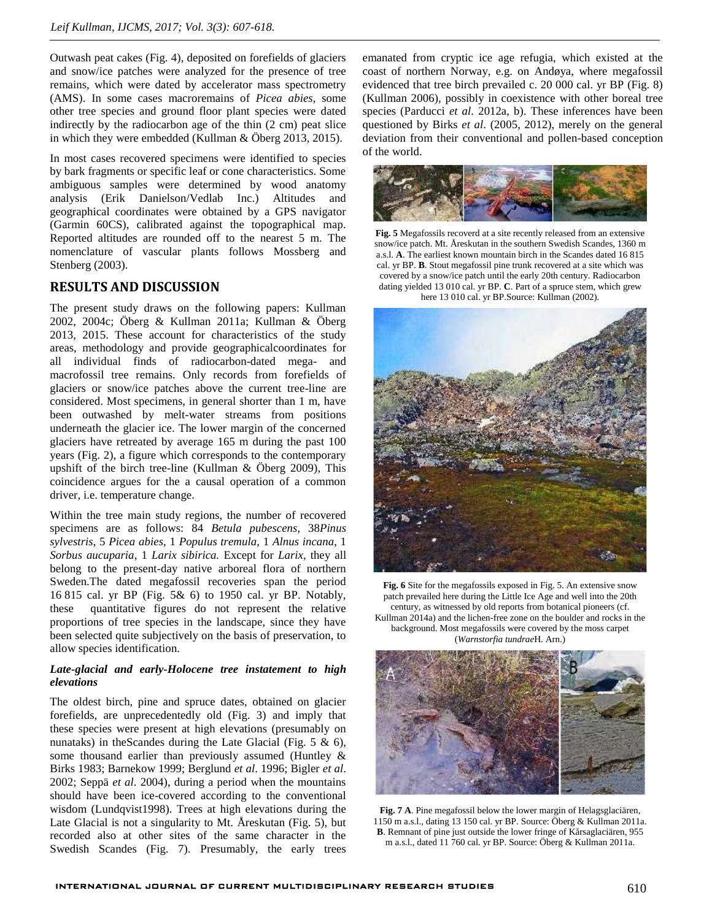Outwash peat cakes (Fig. 4), deposited on forefields of glaciers and snow/ice patches were analyzed for the presence of tree remains, which were dated by accelerator mass spectrometry (AMS). In some cases macroremains of *Picea abies*, some other tree species and ground floor plant species were dated indirectly by the radiocarbon age of the thin (2 cm) peat slice in which they were embedded (Kullman & Öberg 2013, 2015).

In most cases recovered specimens were identified to species by bark fragments or specific leaf or cone characteristics. Some ambiguous samples were determined by wood anatomy analysis (Erik Danielson/Vedlab Inc.) Altitudes and geographical coordinates were obtained by a GPS navigator (Garmin 60CS), calibrated against the topographical map. Reported altitudes are rounded off to the nearest 5 m. The nomenclature of vascular plants follows Mossberg and Stenberg (2003).

### **RESULTS AND DISCUSSION**

The present study draws on the following papers: Kullman 2002, 2004c; Öberg & Kullman 2011a; Kullman & Öberg 2013, 2015. These account for characteristics of the study areas, methodology and provide geographicalcoordinates for all individual finds of radiocarbon-dated mega- and macrofossil tree remains. Only records from forefields of glaciers or snow/ice patches above the current tree-line are considered. Most specimens, in general shorter than 1 m, have been outwashed by melt-water streams from positions underneath the glacier ice. The lower margin of the concerned glaciers have retreated by average 165 m during the past 100 years (Fig. 2), a figure which corresponds to the contemporary upshift of the birch tree-line (Kullman & Öberg 2009), This coincidence argues for the a causal operation of a common driver, i.e. temperature change.

Within the tree main study regions, the number of recovered specimens are as follows: 84 *Betula pubescens*, 38*Pinus sylvestris*, 5 *Picea abies*, 1 *Populus tremula*, 1 *Alnus incana*, 1 *Sorbus aucuparia*, 1 *Larix sibirica.* Except for *Larix,* they all belong to the present-day native arboreal flora of northern Sweden.The dated megafossil recoveries span the period 16 815 cal. yr BP (Fig. 5& 6) to 1950 cal. yr BP. Notably, these quantitative figures do not represent the relative proportions of tree species in the landscape, since they have been selected quite subjectively on the basis of preservation, to allow species identification.

#### *Late-glacial and early-Holocene tree instatement to high elevations*

The oldest birch, pine and spruce dates, obtained on glacier forefields, are unprecedentedly old (Fig. 3) and imply that these species were present at high elevations (presumably on nunataks) in theScandes during the Late Glacial (Fig. 5 & 6), some thousand earlier than previously assumed (Huntley & Birks 1983; Barnekow 1999; Berglund *et al*. 1996; Bigler *et al*. 2002; Seppä *et al*. 2004), during a period when the mountains should have been ice-covered according to the conventional wisdom (Lundqvist1998). Trees at high elevations during the Late Glacial is not a singularity to Mt. Åreskutan (Fig. 5), but recorded also at other sites of the same character in the Swedish Scandes (Fig. 7). Presumably, the early trees

emanated from cryptic ice age refugia, which existed at the coast of northern Norway, e.g. on Andøya, where megafossil evidenced that tree birch prevailed c. 20 000 cal. yr BP (Fig. 8) (Kullman 2006), possibly in coexistence with other boreal tree species (Parducci *et al*. 2012a, b). These inferences have been questioned by Birks *et al*. (2005, 2012), merely on the general deviation from their conventional and pollen-based conception of the world.



**Fig. 5** Megafossils recoverd at a site recently released from an extensive snow/ice patch. Mt. Åreskutan in the southern Swedish Scandes, 1360 m a.s.l. **A**. The earliest known mountain birch in the Scandes dated 16 815 cal. yr BP. **B**. Stout megafossil pine trunk recovered at a site which was covered by a snow/ice patch until the early 20th century. Radiocarbon dating yielded 13 010 cal. yr BP. **C**. Part of a spruce stem, which grew here 13 010 cal. yr BP.Source: Kullman (2002).



**Fig. 6** Site for the megafossils exposed in Fig. 5. An extensive snow patch prevailed here during the Little Ice Age and well into the 20th century, as witnessed by old reports from botanical pioneers (cf. Kullman 2014a) and the lichen-free zone on the boulder and rocks in the background. Most megafossils were covered by the moss carpet (*Warnstorfia tundrae*H. Arn.)



**Fig. 7 A**. Pine megafossil below the lower margin of Helagsglaciären, 1150 m a.s.l., dating 13 150 cal. yr BP. Source: Öberg & Kullman 2011a. **B**. Remnant of pine just outside the lower fringe of Kårsaglaciären, 955 m a.s.l., dated 11 760 cal. yr BP. Source: Öberg & Kullman 2011a.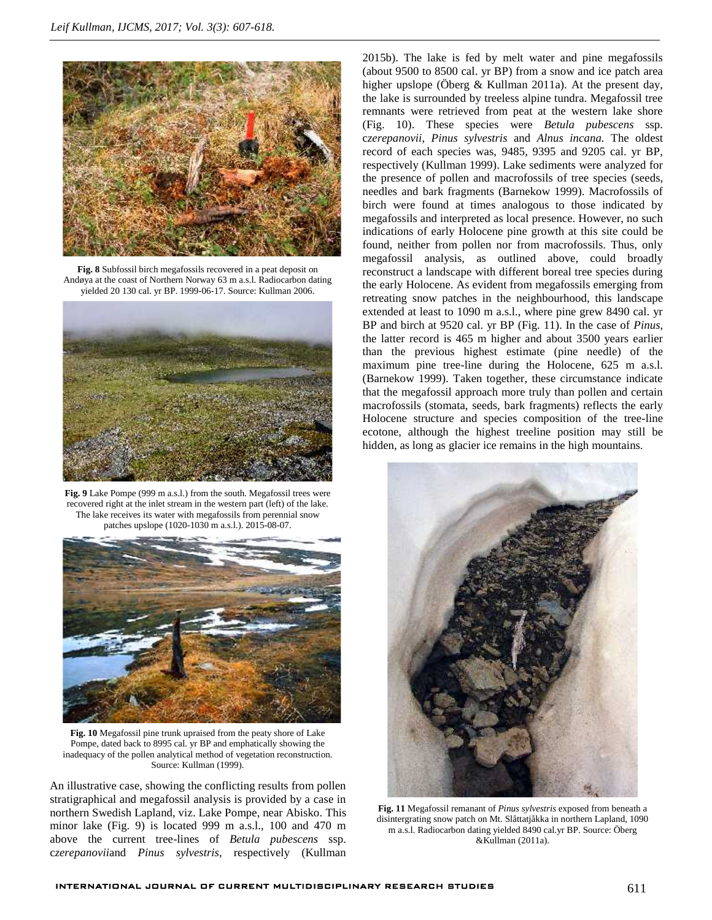

**Fig. 8** Subfossil birch megafossils recovered in a peat deposit on Andøya at the coast of Northern Norway 63 m a.s.l. Radiocarbon dating yielded 20 130 cal. yr BP. 1999-06-17. Source: Kullman 2006.



**Fig. 9** Lake Pompe (999 m a.s.l.) from the south. Megafossil trees were recovered right at the inlet stream in the western part (left) of the lake. The lake receives its water with megafossils from perennial snow patches upslope (1020-1030 m a.s.l.). 2015-08-07.



**Fig. 10** Megafossil pine trunk upraised from the peaty shore of Lake Pompe, dated back to 8995 cal. yr BP and emphatically showing the inadequacy of the pollen analytical method of vegetation reconstruction. Source: Kullman (1999).

An illustrative case, showing the conflicting results from pollen stratigraphical and megafossil analysis is provided by a case in northern Swedish Lapland, viz. Lake Pompe, near Abisko. This minor lake (Fig. 9) is located 999 m a.s.l., 100 and 470 m above the current tree-lines of *Betula pubescens* ssp. c*zerepanovii*and *Pinus sylvestris*, respectively (Kullman

2015b). The lake is fed by melt water and pine megafossils (about 9500 to 8500 cal. yr BP) from a snow and ice patch area higher upslope (Öberg & Kullman 2011a). At the present day, the lake is surrounded by treeless alpine tundra. Megafossil tree remnants were retrieved from peat at the western lake shore (Fig. 10). These species were *Betula pubescens* ssp. c*zerepanovii*, *Pinus sylvestris* and *Alnus incana.* The oldest record of each species was, 9485, 9395 and 9205 cal. yr BP, respectively (Kullman 1999). Lake sediments were analyzed for the presence of pollen and macrofossils of tree species (seeds, needles and bark fragments (Barnekow 1999). Macrofossils of birch were found at times analogous to those indicated by megafossils and interpreted as local presence. However, no such indications of early Holocene pine growth at this site could be found, neither from pollen nor from macrofossils. Thus, only megafossil analysis, as outlined above, could broadly reconstruct a landscape with different boreal tree species during the early Holocene. As evident from megafossils emerging from retreating snow patches in the neighbourhood, this landscape extended at least to 1090 m a.s.l., where pine grew 8490 cal. yr BP and birch at 9520 cal. yr BP (Fig. 11). In the case of *Pinus*, the latter record is 465 m higher and about 3500 years earlier than the previous highest estimate (pine needle) of the maximum pine tree-line during the Holocene, 625 m a.s.l. (Barnekow 1999). Taken together, these circumstance indicate that the megafossil approach more truly than pollen and certain macrofossils (stomata, seeds, bark fragments) reflects the early Holocene structure and species composition of the tree-line ecotone, although the highest treeline position may still be hidden, as long as glacier ice remains in the high mountains.



**Fig. 11** Megafossil remanant of *Pinus sylvestris* exposed from beneath a disintergrating snow patch on Mt. Slåttatjåkka in northern Lapland, 1090 m a.s.l. Radiocarbon dating yielded 8490 cal.yr BP. Source: Öberg &Kullman (2011a).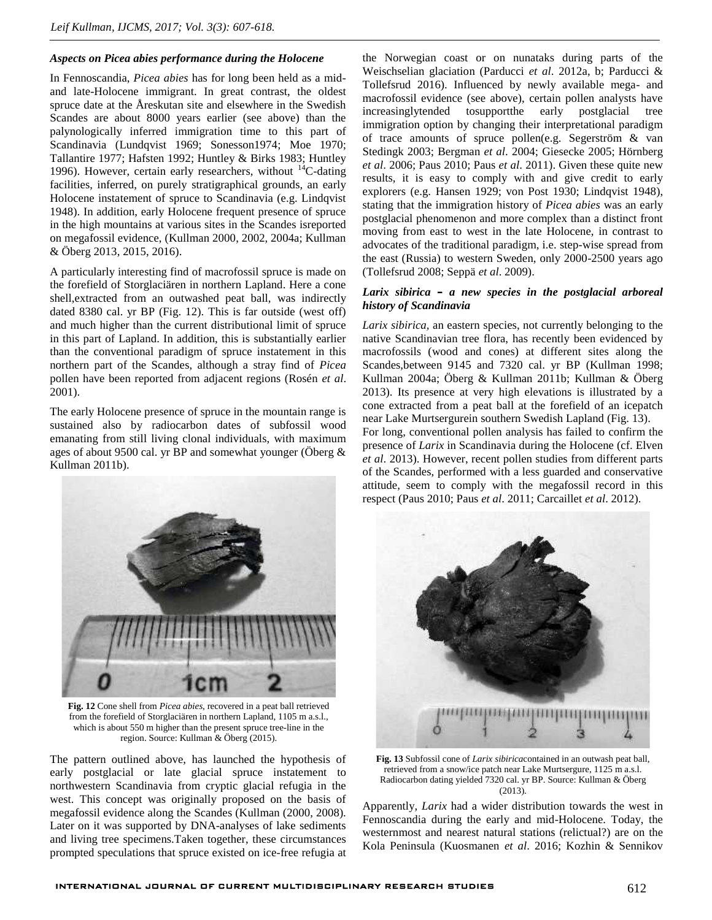### *Aspects on Picea abies performance during the Holocene*

In Fennoscandia, *Picea abies* has for long been held as a mid and late-Holocene immigrant. In great contrast, the oldest spruce date at the Åreskutan site and elsewhere in the Swedish Scandes are about 8000 years earlier (see above) than the palynologically inferred immigration time to this part of Scandinavia (Lundqvist 1969; Sonesson1974; Moe 1970; Tallantire 1977; Hafsten 1992; Huntley & Birks 1983; Huntley 1996). However, certain early researchers, without  $^{14}$ C-dating facilities, inferred, on purely stratigraphical grounds, an early Holocene instatement of spruce to Scandinavia (e.g. Lindqvist 1948). In addition, early Holocene frequent presence of spruce in the high mountains at various sites in the Scandes isreported on megafossil evidence, (Kullman 2000, 2002, 2004a; Kullman & Öberg 2013, 2015, 2016).

A particularly interesting find of macrofossil spruce is made on the forefield of Storglaciären in northern Lapland. Here a cone shell,extracted from an outwashed peat ball, was indirectly dated 8380 cal. yr BP (Fig. 12). This is far outside (west off) and much higher than the current distributional limit of spruce in this part of Lapland. In addition, this is substantially earlier than the conventional paradigm of spruce instatement in this northern part of the Scandes, although a stray find of *Picea* pollen have been reported from adjacent regions (Rosén *et al*. 2001).

The early Holocene presence of spruce in the mountain range is sustained also by radiocarbon dates of subfossil wood emanating from still living clonal individuals, with maximum ages of about 9500 cal. yr BP and somewhat younger (Öberg & Kullman 2011b).



**Fig. 12** Cone shell from *Picea abies*, recovered in a peat ball retrieved from the forefield of Storglaciären in northern Lapland, 1105 m a.s.l., which is about 550 m higher than the present spruce tree-line in the region. Source: Kullman & Öberg (2015).

The pattern outlined above, has launched the hypothesis of early postglacial or late glacial spruce instatement to northwestern Scandinavia from cryptic glacial refugia in the west. This concept was originally proposed on the basis of megafossil evidence along the Scandes (Kullman (2000, 2008). Later on it was supported by DNA-analyses of lake sediments and living tree specimens.Taken together, these circumstances prompted speculations that spruce existed on ice-free refugia at

the Norwegian coast or on nunataks during parts of the Weischselian glaciation (Parducci *et al*. 2012a, b; Parducci & Tollefsrud 2016). Influenced by newly available mega- and macrofossil evidence (see above), certain pollen analysts have increasinglytended tosupportthe early postglacial tree immigration option by changing their interpretational paradigm of trace amounts of spruce pollen(e.g. Segerström & van Stedingk 2003; Bergman *et al*. 2004; Giesecke 2005; Hörnberg *et al*. 2006; Paus 2010; Paus *et al*. 2011). Given these quite new results, it is easy to comply with and give credit to early explorers (e.g. Hansen 1929; von Post 1930; Lindqvist 1948), stating that the immigration history of *Picea abies* was an early postglacial phenomenon and more complex than a distinct front moving from east to west in the late Holocene, in contrast to advocates of the traditional paradigm, i.e. step-wise spread from the east (Russia) to western Sweden, only 2000-2500 years ago (Tollefsrud 2008; Seppä *et al*. 2009).

#### *Larix sibirica – a new species in the postglacial arboreal history of Scandinavia*

*Larix sibirica,* an eastern species, not currently belonging to the native Scandinavian tree flora, has recently been evidenced by macrofossils (wood and cones) at different sites along the Scandes,between 9145 and 7320 cal. yr BP (Kullman 1998; Kullman 2004a; Öberg & Kullman 2011b; Kullman & Öberg 2013). Its presence at very high elevations is illustrated by a cone extracted from a peat ball at the forefield of an icepatch near Lake Murtsergurein southern Swedish Lapland (Fig. 13). For long, conventional pollen analysis has failed to confirm the presence of *Larix* in Scandinavia during the Holocene (cf. Elven *et al*. 2013). However, recent pollen studies from different parts of the Scandes, performed with a less guarded and conservative attitude, seem to comply with the megafossil record in this respect (Paus 2010; Paus *et al*. 2011; Carcaillet *et al*. 2012).



**Fig. 13** Subfossil cone of *Larix sibirica*contained in an outwash peat ball, retrieved from a snow/ice patch near Lake Murtsergure, 1125 m a.s.l. Radiocarbon dating yielded 7320 cal. yr BP. Source: Kullman & Öberg (2013).

Apparently, *Larix* had a wider distribution towards the west in Fennoscandia during the early and mid-Holocene. Today, the westernmost and nearest natural stations (relictual?) are on the Kola Peninsula (Kuosmanen *et al*. 2016; Kozhin & Sennikov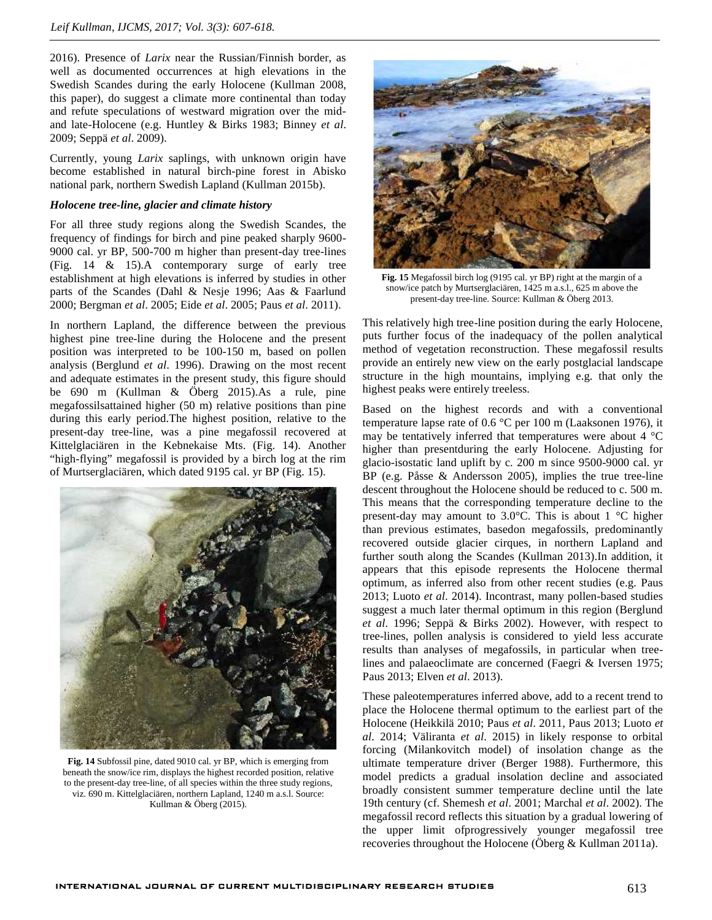2016). Presence of *Larix* near the Russian/Finnish border, as well as documented occurrences at high elevations in the Swedish Scandes during the early Holocene (Kullman 2008, this paper), do suggest a climate more continental than today and refute speculations of westward migration over the mid and late-Holocene (e.g. Huntley & Birks 1983; Binney *et al*. 2009; Seppä *et al*. 2009).

Currently, young *Larix* saplings, with unknown origin have become established in natural birch-pine forest in Abisko national park, northern Swedish Lapland (Kullman 2015b).

#### *Holocene tree-line, glacier and climate history*

For all three study regions along the Swedish Scandes, the frequency of findings for birch and pine peaked sharply 9600- 9000 cal. yr BP, 500-700 m higher than present-day tree-lines (Fig. 14 & 15).A contemporary surge of early tree establishment at high elevations is inferred by studies in other parts of the Scandes (Dahl & Nesje 1996; Aas & Faarlund 2000; Bergman *et al*. 2005; Eide *et al*. 2005; Paus *et al*. 2011).

In northern Lapland, the difference between the previous highest pine tree-line during the Holocene and the present position was interpreted to be 100-150 m, based on pollen analysis (Berglund *et al*. 1996). Drawing on the most recent and adequate estimates in the present study, this figure should be 690 m (Kullman & Öberg 2015).As a rule, pine megafossilsattained higher (50 m) relative positions than pine during this early period.The highest position, relative to the present-day tree-line, was a pine megafossil recovered at Kittelglaciären in the Kebnekaise Mts. (Fig. 14). Another "high-flying" megafossil is provided by a birch log at the rim of Murtserglaciären, which dated 9195 cal. yr BP (Fig. 15).



**Fig. 14** Subfossil pine, dated 9010 cal. yr BP, which is emerging from beneath the snow/ice rim, displays the highest recorded position, relative to the present-day tree-line, of all species within the three study regions, viz. 690 m. Kittelglaciären, northern Lapland, 1240 m a.s.l. Source: Kullman & Öberg (2015).



**Fig. 15** Megafossil birch log (9195 cal. yr BP) right at the margin of a snow/ice patch by Murtserglaciären, 1425 m a.s.l., 625 m above the present-day tree-line. Source: Kullman & Öberg 2013.

This relatively high tree-line position during the early Holocene, puts further focus of the inadequacy of the pollen analytical method of vegetation reconstruction. These megafossil results provide an entirely new view on the early postglacial landscape structure in the high mountains, implying e.g. that only the highest peaks were entirely treeless.

Based on the highest records and with a conventional temperature lapse rate of 0.6 °C per 100 m (Laaksonen 1976), it may be tentatively inferred that temperatures were about 4 °C higher than presentduring the early Holocene. Adjusting for glacio-isostatic land uplift by c. 200 m since 9500-9000 cal. yr BP (e.g. Påsse & Andersson 2005), implies the true tree-line descent throughout the Holocene should be reduced to c. 500 m. This means that the corresponding temperature decline to the present-day may amount to 3.0°C. This is about 1 °C higher than previous estimates, basedon megafossils, predominantly recovered outside glacier cirques, in northern Lapland and further south along the Scandes (Kullman 2013).In addition, it appears that this episode represents the Holocene thermal optimum, as inferred also from other recent studies (e.g. Paus 2013; Luoto *et al*. 2014). Incontrast, many pollen-based studies suggest a much later thermal optimum in this region (Berglund *et al*. 1996; Seppä & Birks 2002). However, with respect to tree-lines, pollen analysis is considered to yield less accurate results than analyses of megafossils, in particular when treelines and palaeoclimate are concerned (Faegri & Iversen 1975; Paus 2013; Elven *et al*. 2013).

These paleotemperatures inferred above, add to a recent trend to place the Holocene thermal optimum to the earliest part of the Holocene (Heikkilä 2010; Paus *et al*. 2011, Paus 2013; Luoto *et al*. 2014; Väliranta *et al*. 2015) in likely response to orbital forcing (Milankovitch model) of insolation change as the ultimate temperature driver (Berger 1988). Furthermore, this model predicts a gradual insolation decline and associated broadly consistent summer temperature decline until the late 19th century (cf. Shemesh *et al*. 2001; Marchal *et al*. 2002). The megafossil record reflects this situation by a gradual lowering of the upper limit ofprogressively younger megafossil tree recoveries throughout the Holocene (Öberg & Kullman 2011a).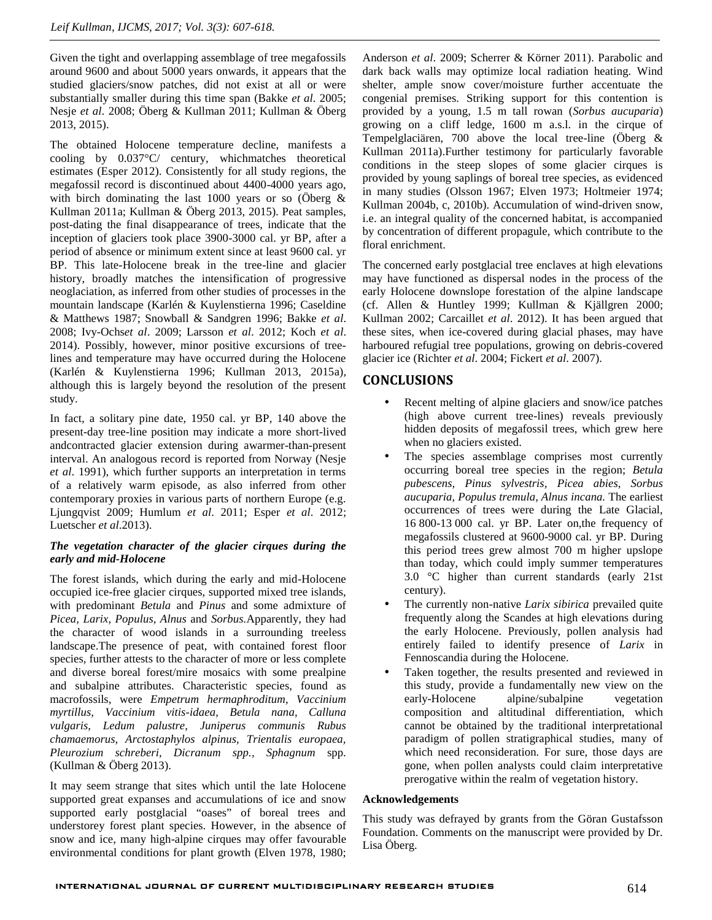Given the tight and overlapping assemblage of tree megafossils around 9600 and about 5000 years onwards, it appears that the studied glaciers/snow patches, did not exist at all or were substantially smaller during this time span (Bakke *et al*. 2005; Nesje *et al*. 2008; Öberg & Kullman 2011; Kullman & Öberg 2013, 2015).

The obtained Holocene temperature decline, manifests a cooling by 0.037°C/ century, whichmatches theoretical estimates (Esper 2012). Consistently for all study regions, the megafossil record is discontinued about 4400-4000 years ago, with birch dominating the last 1000 years or so (Öberg  $\&$ Kullman 2011a; Kullman & Öberg 2013, 2015). Peat samples, post-dating the final disappearance of trees, indicate that the inception of glaciers took place 3900-3000 cal. yr BP, after a period of absence or minimum extent since at least 9600 cal. yr BP. This late-Holocene break in the tree-line and glacier history, broadly matches the intensification of progressive neoglaciation, as inferred from other studies of processes in the mountain landscape (Karlén & Kuylenstierna 1996; Caseldine & Matthews 1987; Snowball & Sandgren 1996; Bakke *et al*. 2008; Ivy-Ochs*et al*. 2009; Larsson *et al*. 2012; Koch *et al*. 2014). Possibly, however, minor positive excursions of treelines and temperature may have occurred during the Holocene (Karlén & Kuylenstierna 1996; Kullman 2013, 2015a), although this is largely beyond the resolution of the present study.

In fact, a solitary pine date, 1950 cal. yr BP, 140 above the present-day tree-line position may indicate a more short-lived andcontracted glacier extension during awarmer-than-present interval. An analogous record is reported from Norway (Nesje *et al*. 1991), which further supports an interpretation in terms of a relatively warm episode, as also inferred from other contemporary proxies in various parts of northern Europe (e.g. Ljungqvist 2009; Humlum *et al*. 2011; Esper *et al*. 2012; Luetscher *et al*.2013).

#### *The vegetation character of the glacier cirques during the early and mid-Holocene*

The forest islands, which during the early and mid-Holocene occupied ice-free glacier cirques, supported mixed tree islands, with predominant *Betula* and *Pinus* and some admixture of *Picea, Larix, Populus, Alnus* and *Sorbus.*Apparently, they had the character of wood islands in a surrounding treeless landscape.The presence of peat, with contained forest floor species, further attests to the character of more or less complete and diverse boreal forest/mire mosaics with some prealpine and subalpine attributes. Characteristic species, found as macrofossils, were *Empetrum hermaphroditum, Vaccinium myrtillus, Vaccinium vitis-idaea, Betula nana, Calluna vulgaris, Ledum palustre, Juniperus communis Rubus chamaemorus, Arctostaphylos alpinus, Trientalis europaea, Pleurozium schreberi, Dicranum spp., Sphagnum* spp*.* (Kullman & Öberg 2013).

It may seem strange that sites which until the late Holocene supported great expanses and accumulations of ice and snow supported early postglacial "oases" of boreal trees and understorey forest plant species. However, in the absence of snow and ice, many high-alpine cirques may offer favourable environmental conditions for plant growth (Elven 1978, 1980;

Anderson *et al*. 2009; Scherrer & Körner 2011). Parabolic and dark back walls may optimize local radiation heating. Wind shelter, ample snow cover/moisture further accentuate the congenial premises. Striking support for this contention is provided by a young, 1.5 m tall rowan (*Sorbus aucuparia*) growing on a cliff ledge, 1600 m a.s.l. in the cirque of Tempelglaciären, 700 above the local tree-line (Öberg & Kullman 2011a).Further testimony for particularly favorable conditions in the steep slopes of some glacier cirques is provided by young saplings of boreal tree species, as evidenced in many studies (Olsson 1967; Elven 1973; Holtmeier 1974; Kullman 2004b, c, 2010b). Accumulation of wind-driven snow, i.e. an integral quality of the concerned habitat, is accompanied by concentration of different propagule, which contribute to the floral enrichment.

The concerned early postglacial tree enclaves at high elevations may have functioned as dispersal nodes in the process of the early Holocene downslope forestation of the alpine landscape (cf. Allen & Huntley 1999; Kullman & Kjällgren 2000; Kullman 2002; Carcaillet *et al*. 2012). It has been argued that these sites, when ice-covered during glacial phases, may have harboured refugial tree populations, growing on debris-covered glacier ice (Richter *et al*. 2004; Fickert *et al*. 2007).

## **CONCLUSIONS**

- Recent melting of alpine glaciers and snow/ice patches (high above current tree-lines) reveals previously hidden deposits of megafossil trees, which grew here when no glaciers existed.
- The species assemblage comprises most currently occurring boreal tree species in the region; *Betula pubescens, Pinus sylvestris, Picea abies, Sorbus aucuparia, Populus tremula, Alnus incana.* The earliest occurrences of trees were during the Late Glacial, 16 800-13 000 cal. yr BP. Later on,the frequency of megafossils clustered at 9600-9000 cal. yr BP. During this period trees grew almost 700 m higher upslope than today, which could imply summer temperatures 3.0 °C higher than current standards (early 21st century).
- The currently non-native *Larix sibirica* prevailed quite frequently along the Scandes at high elevations during the early Holocene. Previously, pollen analysis had entirely failed to identify presence of *Larix* in Fennoscandia during the Holocene.
- Taken together, the results presented and reviewed in this study, provide a fundamentally new view on the alpine/subalpine vegetation composition and altitudinal differentiation, which cannot be obtained by the traditional interpretational paradigm of pollen stratigraphical studies, many of which need reconsideration. For sure, those days are gone, when pollen analysts could claim interpretative prerogative within the realm of vegetation history.

#### **Acknowledgements**

This study was defrayed by grants from the Göran Gustafsson Foundation. Comments on the manuscript were provided by Dr. Lisa Öberg.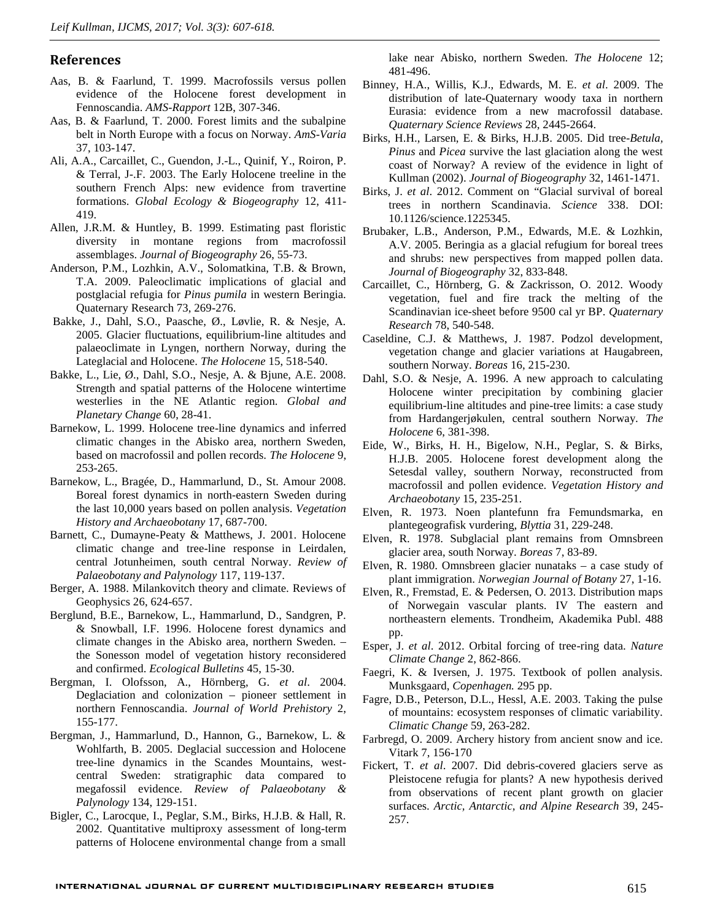#### **References**

- Aas, B. & Faarlund, T. 1999. Macrofossils versus pollen evidence of the Holocene forest development in Fennoscandia. *AMS-Rapport* 12B, 307-346.
- Aas, B. & Faarlund, T. 2000. Forest limits and the subalpine belt in North Europe with a focus on Norway. *AmS-Varia* 37, 103-147.
- Ali, A.A., Carcaillet, C., Guendon, J.-L., Quinif, Y., Roiron, P. & Terral, J-.F. 2003. The Early Holocene treeline in the southern French Alps: new evidence from travertine formations. *Global Ecology & Biogeography* 12, 411- 419.
- Allen, J.R.M. & Huntley, B. 1999. Estimating past floristic diversity in montane regions from macrofossil assemblages. *Journal of Biogeography* 26, 55-73.
- Anderson, P.M., Lozhkin, A.V., Solomatkina, T.B. & Brown, T.A. 2009. Paleoclimatic implications of glacial and postglacial refugia for *Pinus pumila* in western Beringia. Quaternary Research 73, 269-276.
- Bakke, J., Dahl, S.O., Paasche, Ø., Løvlie, R. & Nesje, A. 2005. Glacier fluctuations, equilibrium-line altitudes and palaeoclimate in Lyngen, northern Norway, during the Lateglacial and Holocene. *The Holocene* 15, 518-540.
- Bakke, L., Lie, Ø., Dahl, S.O., Nesje, A. & Bjune, A.E. 2008. Strength and spatial patterns of the Holocene wintertime westerlies in the NE Atlantic region. *Global and Planetary Change* 60, 28-41.
- Barnekow, L. 1999. Holocene tree-line dynamics and inferred climatic changes in the Abisko area, northern Sweden, based on macrofossil and pollen records. *The Holocene* 9, 253-265.
- Barnekow, L., Bragée, D., Hammarlund, D., St. Amour 2008. Boreal forest dynamics in north-eastern Sweden during the last 10,000 years based on pollen analysis. *Vegetation History and Archaeobotany* 17, 687-700.
- Barnett, C., Dumayne-Peaty & Matthews, J. 2001. Holocene climatic change and tree-line response in Leirdalen, central Jotunheimen, south central Norway. *Review of Palaeobotany and Palynology* 117, 119-137.
- Berger, A. 1988. Milankovitch theory and climate. Reviews of Geophysics 26, 624-657.
- Berglund, B.E., Barnekow, L., Hammarlund, D., Sandgren, P. & Snowball, I.F. 1996. Holocene forest dynamics and climate changes in the Abisko area, northern Sweden. – the Sonesson model of vegetation history reconsidered and confirmed. *Ecological Bulletins* 45, 15-30.
- Bergman, I. Olofsson, A., Hörnberg, G. *et al*. 2004. Deglaciation and colonization – pioneer settlement in northern Fennoscandia. *Journal of World Prehistory* 2, 155-177.
- Bergman, J., Hammarlund, D., Hannon, G., Barnekow, L. & Wohlfarth, B. 2005. Deglacial succession and Holocene tree-line dynamics in the Scandes Mountains, west central Sweden: stratigraphic data compared to megafossil evidence. *Review of Palaeobotany & Palynology* 134, 129-151.
- Bigler, C., Larocque, I., Peglar, S.M., Birks, H.J.B. & Hall, R. 2002. Quantitative multiproxy assessment of long-term patterns of Holocene environmental change from a small

lake near Abisko, northern Sweden. *The Holocene* 12; 481-496.

- Binney, H.A., Willis, K.J., Edwards, M. E. *et al*. 2009. The distribution of late-Quaternary woody taxa in northern Eurasia: evidence from a new macrofossil database. *Quaternary Science Reviews* 28, 2445-2664.
- Birks, H.H., Larsen, E. & Birks, H.J.B. 2005. Did tree-*Betula, Pinus* and *Picea* survive the last glaciation along the west coast of Norway? A review of the evidence in light of Kullman (2002). *Journal of Biogeography* 32, 1461-1471.
- Birks, J. *et al*. 2012. Comment on "Glacial survival of boreal trees in northern Scandinavia. *Science* 338. DOI: 10.1126/science.1225345.
- Brubaker, L.B., Anderson, P.M., Edwards, M.E. & Lozhkin, A.V. 2005. Beringia as a glacial refugium for boreal trees and shrubs: new perspectives from mapped pollen data. *Journal of Biogeography* 32, 833-848.
- Carcaillet, C., Hörnberg, G. & Zackrisson, O. 2012. Woody vegetation, fuel and fire track the melting of the Scandinavian ice-sheet before 9500 cal yr BP. *Quaternary Research* 78, 540-548.
- Caseldine, C.J. & Matthews, J. 1987. Podzol development, vegetation change and glacier variations at Haugabreen, southern Norway. *Boreas* 16, 215-230.
- Dahl, S.O. & Nesje, A. 1996. A new approach to calculating Holocene winter precipitation by combining glacier equilibrium-line altitudes and pine-tree limits: a case study from Hardangerjøkulen, central southern Norway. *The Holocene* 6, 381-398.
- Eide, W., Birks, H. H., Bigelow, N.H., Peglar, S. & Birks, H.J.B. 2005. Holocene forest development along the Setesdal valley, southern Norway, reconstructed from macrofossil and pollen evidence. *Vegetation History and Archaeobotany* 15, 235-251.
- Elven, R. 1973. Noen plantefunn fra Femundsmarka, en plantegeografisk vurdering, *Blyttia* 31, 229-248.
- Elven, R. 1978. Subglacial plant remains from Omnsbreen glacier area, south Norway. *Boreas* 7, 83-89.
- Elven, R. 1980. Omnsbreen glacier nunataks a case study of plant immigration. *Norwegian Journal of Botany* 27, 1-16.
- Elven, R., Fremstad, E. & Pedersen, O. 2013. Distribution maps of Norwegain vascular plants. IV The eastern and northeastern elements. Trondheim, Akademika Publ. 488 pp.
- Esper, J. *et al*. 2012. Orbital forcing of tree-ring data. *Nature Climate Change* 2, 862-866.
- Faegri, K. & Iversen, J. 1975. Textbook of pollen analysis. Munksgaard, *Copenhagen.* 295 pp.
- Fagre, D.B., Peterson, D.L., Hessl, A.E. 2003. Taking the pulse of mountains: ecosystem responses of climatic variability. *Climatic Change* 59, 263-282.
- Farbregd, O. 2009. Archery history from ancient snow and ice. Vitark 7, 156-170
- Fickert, T. *et al*. 2007. Did debris-covered glaciers serve as Pleistocene refugia for plants? A new hypothesis derived from observations of recent plant growth on glacier surfaces. *Arctic, Antarctic, and Alpine Research* 39, 245- 257.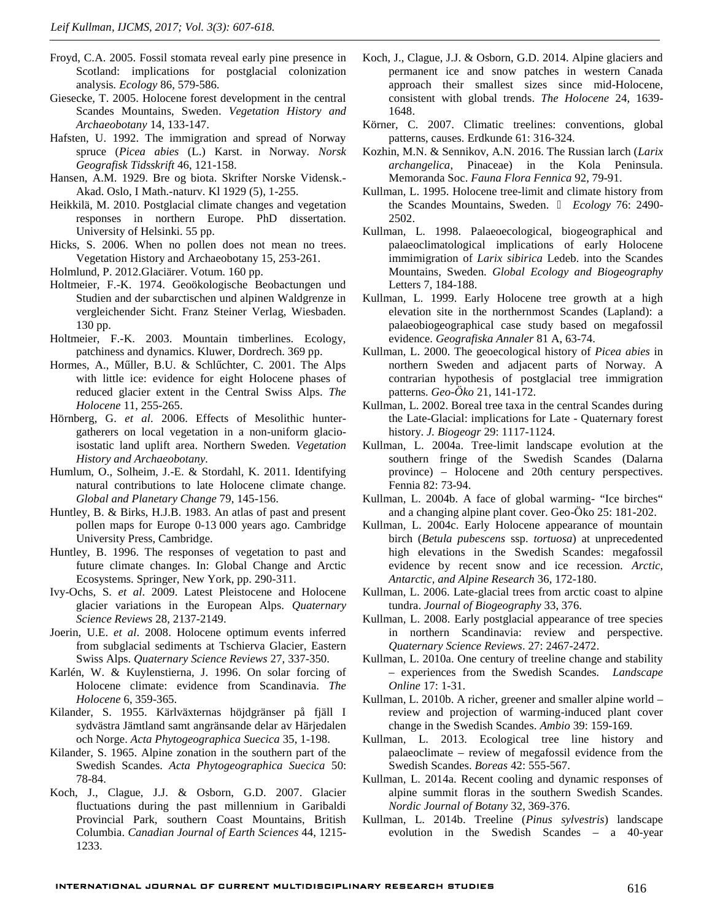- Froyd, C.A. 2005. Fossil stomata reveal early pine presence in Scotland: implications for postglacial colonization analysis*. Ecology* 86, 579-586.
- Giesecke, T. 2005. Holocene forest development in the central Scandes Mountains, Sweden. *Vegetation History and Archaeobotany* 14, 133-147.
- Hafsten, U. 1992. The immigration and spread of Norway spruce (*Picea abies* (L.) Karst. in Norway. *Norsk Geografisk Tidsskrift* 46, 121-158.
- Hansen, A.M. 1929. Bre og biota. Skrifter Norske Vidensk.- Akad. Oslo, I Math.-naturv. Kl 1929 (5), 1-255.
- Heikkilä, M. 2010. Postglacial climate changes and vegetation responses in northern Europe. PhD dissertation. University of Helsinki. 55 pp.
- Hicks, S. 2006. When no pollen does not mean no trees. Vegetation History and Archaeobotany 15, 253-261.
- Holmlund, P. 2012.Glaciärer. Votum. 160 pp.
- Holtmeier, F.-K. 1974. Geoökologische Beobactungen und Studien and der subarctischen und alpinen Waldgrenze in vergleichender Sicht. Franz Steiner Verlag, Wiesbaden. 130 pp.
- Holtmeier, F.-K. 2003. Mountain timberlines. Ecology, patchiness and dynamics. Kluwer, Dordrech. 369 pp.
- Hormes, A., M ller, B.U. & Schl chter, C. 2001. The Alps with little ice: evidence for eight Holocene phases of reduced glacier extent in the Central Swiss Alps. *The Holocene* 11, 255-265.
- Hörnberg, G. *et al*. 2006. Effects of Mesolithic hunter gatherers on local vegetation in a non-uniform glacioisostatic land uplift area. Northern Sweden. *Vegetation History and Archaeobotany.*
- Humlum, O., Solheim, J.-E. & Stordahl, K. 2011. Identifying natural contributions to late Holocene climate change. *Global and Planetary Change* 79, 145-156.
- Huntley, B. & Birks, H.J.B. 1983. An atlas of past and present pollen maps for Europe 0-13 000 years ago. Cambridge University Press, Cambridge.
- Huntley, B. 1996. The responses of vegetation to past and future climate changes. In: Global Change and Arctic Ecosystems. Springer, New York, pp. 290-311.
- Ivy-Ochs, S. *et al*. 2009. Latest Pleistocene and Holocene glacier variations in the European Alps. *Quaternary Science Reviews* 28, 2137-2149.
- Joerin, U.E. *et al*. 2008. Holocene optimum events inferred from subglacial sediments at Tschierva Glacier, Eastern Swiss Alps. *Quaternary Science Reviews* 27, 337-350.
- Karlén, W. & Kuylenstierna, J. 1996. On solar forcing of Holocene climate: evidence from Scandinavia. *The Holocene* 6, 359-365.
- Kilander, S. 1955. Kärlväxternas höjdgränser på fjäll I sydvästra Jämtland samt angränsande delar av Härjedalen och Norge. *Acta Phytogeographica Suecica* 35, 1-198.
- Kilander, S. 1965. Alpine zonation in the southern part of the Swedish Scandes. *Acta Phytogeographica Suecica* 50: 78-84.
- Koch, J., Clague, J.J. & Osborn, G.D. 2007. Glacier fluctuations during the past millennium in Garibaldi Provincial Park, southern Coast Mountains, British Columbia. *Canadian Journal of Earth Sciences* 44, 1215- 1233.
- Koch, J., Clague, J.J. & Osborn, G.D. 2014. Alpine glaciers and permanent ice and snow patches in western Canada approach their smallest sizes since mid-Holocene, consistent with global trends. *The Holocene* 24, 1639- 1648.
- Körner, C. 2007. Climatic treelines: conventions, global patterns, causes. Erdkunde 61: 316-324.
- Kozhin, M.N. & Sennikov, A.N. 2016. The Russian larch (*Larix archangelica*, Pinaceae) in the Kola Peninsula. Memoranda Soc. *Fauna Flora Fennica* 92, 79-91.
- Kullman, L. 1995. Holocene tree-limit and climate history from the Scandes Mountains, Sweden. ̶ *Ecology* 76: 2490- 2502.
- Kullman, L. 1998. Palaeoecological, biogeographical and palaeoclimatological implications of early Holocene immimigration of *Larix sibirica* Ledeb. into the Scandes Mountains, Sweden. *Global Ecology and Biogeography* Letters 7, 184-188.
- Kullman, L. 1999. Early Holocene tree growth at a high elevation site in the northernmost Scandes (Lapland): a palaeobiogeographical case study based on megafossil evidence. *Geografiska Annaler* 81 A, 63-74.
- Kullman, L. 2000. The geoecological history of *Picea abies* in northern Sweden and adjacent parts of Norway. A contrarian hypothesis of postglacial tree immigration patterns. *Geo-Öko* 21, 141-172.
- Kullman, L. 2002. Boreal tree taxa in the central Scandes during the Late-Glacial: implications for Late - Quaternary forest history. *J. Biogeogr* 29: 1117-1124.
- Kullman, L. 2004a. Tree-limit landscape evolution at the southern fringe of the Swedish Scandes (Dalarna province) – Holocene and 20th century perspectives. Fennia 82: 73-94.
- Kullman, L. 2004b. A face of global warming- "Ice birches" and a changing alpine plant cover. Geo-Öko 25: 181-202.
- Kullman, L. 2004c. Early Holocene appearance of mountain birch (*Betula pubescens* ssp. *tortuosa*) at unprecedented high elevations in the Swedish Scandes: megafossil evidence by recent snow and ice recession. *Arctic, Antarctic, and Alpine Research* 36, 172-180.
- Kullman, L. 2006. Late-glacial trees from arctic coast to alpine tundra. *Journal of Biogeography* 33, 376.
- Kullman, L. 2008. Early postglacial appearance of tree species in northern Scandinavia: review and perspective. *Quaternary Science Reviews*. 27: 2467-2472.
- Kullman, L. 2010a. One century of treeline change and stability – experiences from the Swedish Scandes*. Landscape Online* 17: 1-31.
- Kullman, L. 2010b. A richer, greener and smaller alpine world review and projection of warming-induced plant cover change in the Swedish Scandes. *Ambio* 39: 159-169.
- Kullman, L. 2013. Ecological tree line history and palaeoclimate – review of megafossil evidence from the Swedish Scandes. *Boreas* 42: 555-567.
- Kullman, L. 2014a. Recent cooling and dynamic responses of alpine summit floras in the southern Swedish Scandes. *Nordic Journal of Botany* 32, 369-376.
- Kullman, L. 2014b. Treeline (*Pinus sylvestris*) landscape evolution in the Swedish Scandes – a 40-year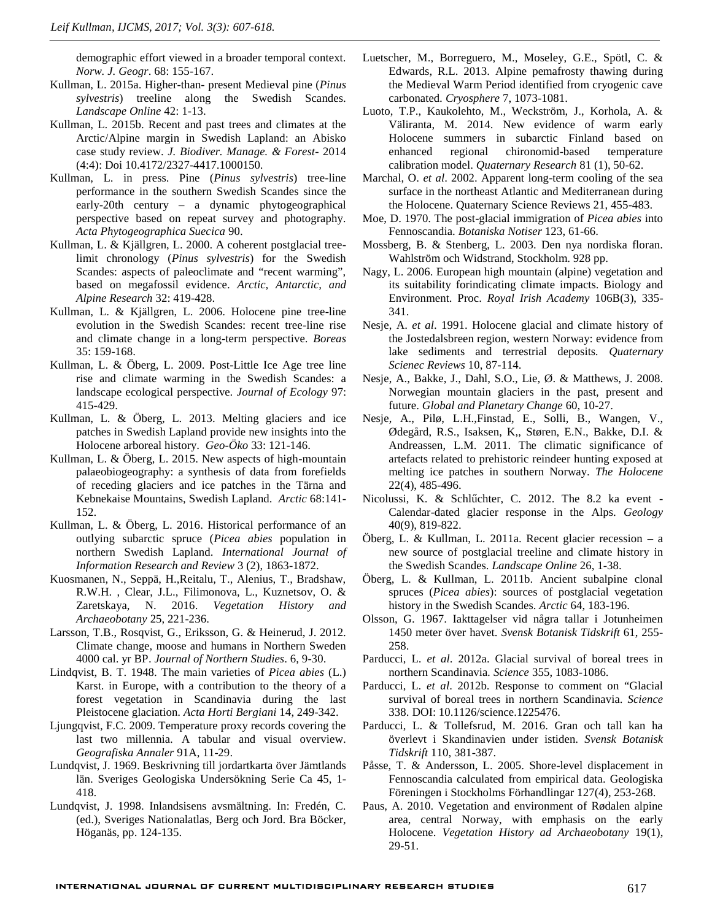demographic effort viewed in a broader temporal context. *Norw. J. Geogr*. 68: 155-167.

- Kullman, L. 2015a. Higher-than- present Medieval pine (*Pinus sylvestris*) treeline along the Swedish Scandes. *Landscape Online* 42: 1-13.
- Kullman, L. 2015b. Recent and past trees and climates at the Arctic/Alpine margin in Swedish Lapland: an Abisko case study review. *J. Biodiver. Manage. & Forest*- 2014 (4:4): Doi 10.4172/2327-4417.1000150.
- Kullman, L. in press. Pine (*Pinus sylvestris*) tree-line performance in the southern Swedish Scandes since the early-20th century – a dynamic phytogeographical perspective based on repeat survey and photography. *Acta Phytogeographica Suecica* 90.
- Kullman, L. & Kjällgren, L. 2000. A coherent postglacial treelimit chronology (*Pinus sylvestris*) for the Swedish Scandes: aspects of paleoclimate and "recent warming", based on megafossil evidence. *Arctic, Antarctic, and Alpine Research* 32: 419-428.
- Kullman, L. & Kjällgren, L. 2006. Holocene pine tree-line evolution in the Swedish Scandes: recent tree-line rise and climate change in a long-term perspective. *Boreas* 35: 159-168.
- Kullman, L. & Öberg, L. 2009. Post-Little Ice Age tree line rise and climate warming in the Swedish Scandes: a landscape ecological perspective. *Journal of Ecology* 97: 415-429.
- Kullman, L. & Öberg, L. 2013. Melting glaciers and ice patches in Swedish Lapland provide new insights into the Holocene arboreal history. *Geo-Öko* 33: 121-146.
- Kullman, L. & Öberg, L. 2015. New aspects of high-mountain palaeobiogeography: a synthesis of data from forefields of receding glaciers and ice patches in the Tärna and Kebnekaise Mountains, Swedish Lapland. *Arctic* 68:141- 152.
- Kullman, L. & Öberg, L. 2016. Historical performance of an outlying subarctic spruce (*Picea abies* population in northern Swedish Lapland. *International Journal of Information Research and Review* 3 (2), 1863-1872.
- Kuosmanen, N., Seppä, H.,Reitalu, T., Alenius, T., Bradshaw, R.W.H. , Clear, J.L., Filimonova, L., Kuznetsov, O. & Zaretskaya, N. 2016. *Vegetation History and Archaeobotany* 25, 221-236.
- Larsson, T.B., Rosqvist, G., Eriksson, G. & Heinerud, J. 2012. Climate change, moose and humans in Northern Sweden 4000 cal. yr BP. *Journal of Northern Studies*. 6, 9-30.
- Lindqvist, B. T. 1948. The main varieties of *Picea abies* (L.) Karst. in Europe, with a contribution to the theory of a forest vegetation in Scandinavia during the last Pleistocene glaciation. *Acta Horti Bergiani* 14, 249-342.
- Ljungqvist, F.C. 2009. Temperature proxy records covering the last two millennia. A tabular and visual overview. *Geografiska Annaler* 91A, 11-29.
- Lundqvist, J. 1969. Beskrivning till jordartkarta över Jämtlands län. Sveriges Geologiska Undersökning Serie Ca 45, 1- 418.
- Lundqvist, J. 1998. Inlandsisens avsmältning. In: Fredén, C. (ed.), Sveriges Nationalatlas, Berg och Jord. Bra Böcker, Höganäs, pp. 124-135.
- Luetscher, M., Borreguero, M., Moseley, G.E., Spötl, C. & Edwards, R.L. 2013. Alpine pemafrosty thawing during the Medieval Warm Period identified from cryogenic cave carbonated*. Cryosphere* 7, 1073-1081.
- Luoto, T.P., Kaukolehto, M., Weckström, J., Korhola, A. & Väliranta, M. 2014. New evidence of warm early Holocene summers in subarctic Finland based on regional chironomid-based temperature calibration model. *Quaternary Research* 81 (1), 50-62.
- Marchal, O. *et al*. 2002. Apparent long-term cooling of the sea surface in the northeast Atlantic and Mediterranean during the Holocene. Quaternary Science Reviews 21, 455-483.
- Moe, D. 1970. The post-glacial immigration of *Picea abies* into Fennoscandia. *Botaniska Notiser* 123, 61-66.
- Mossberg, B. & Stenberg, L. 2003. Den nya nordiska floran. Wahlström och Widstrand, Stockholm. 928 pp.
- Nagy, L. 2006. European high mountain (alpine) vegetation and its suitability forindicating climate impacts. Biology and Environment. Proc. *Royal Irish Academy* 106B(3), 335- 341.
- Nesje, A. *et al*. 1991. Holocene glacial and climate history of the Jostedalsbreen region, western Norway: evidence from lake sediments and terrestrial deposits*. Quaternary Scienec Reviews* 10, 87-114.
- Nesje, A., Bakke, J., Dahl, S.O., Lie, Ø. & Matthews, J. 2008. Norwegian mountain glaciers in the past, present and future. *Global and Planetary Change* 60, 10-27.
- Nesje, A., Pilø, L.H.,Finstad, E., Solli, B., Wangen, V., Ødegård, R.S., Isaksen, K,, Støren, E.N., Bakke, D.I. & Andreassen, L.M. 2011. The climatic significance of artefacts related to prehistoric reindeer hunting exposed at melting ice patches in southern Norway. *The Holocene* 22(4), 485-496.
- Nicolussi, K. & Schl chter, C. 2012. The 8.2 ka event -Calendar-dated glacier response in the Alps. *Geology* 40(9), 819-822.
- Öberg, L. & Kullman, L. 2011a. Recent glacier recession a new source of postglacial treeline and climate history in the Swedish Scandes. *Landscape Online* 26, 1-38.
- Öberg, L. & Kullman, L. 2011b. Ancient subalpine clonal spruces (*Picea abies*): sources of postglacial vegetation history in the Swedish Scandes. *Arctic* 64, 183-196.
- Olsson, G. 1967. Iakttagelser vid några tallar i Jotunheimen 1450 meter över havet. *Svensk Botanisk Tidskrift* 61, 255- 258.
- Parducci, L. *et al*. 2012a. Glacial survival of boreal trees in northern Scandinavia*. Science* 355, 1083-1086.
- Parducci, L. *et al*. 2012b. Response to comment on "Glacial survival of boreal trees in northern Scandinavia. *Science* 338. DOI: 10.1126/science.1225476.
- Parducci, L. & Tollefsrud, M. 2016. Gran och tall kan ha överlevt i Skandinavien under istiden. *Svensk Botanisk Tidskrift* 110, 381-387.
- Påsse, T. & Andersson, L. 2005. Shore-level displacement in Fennoscandia calculated from empirical data. Geologiska Föreningen i Stockholms Förhandlingar 127(4), 253-268.
- Paus, A. 2010. Vegetation and environment of Rødalen alpine area, central Norway, with emphasis on the early Holocene. *Vegetation History ad Archaeobotany* 19(1), 29-51.